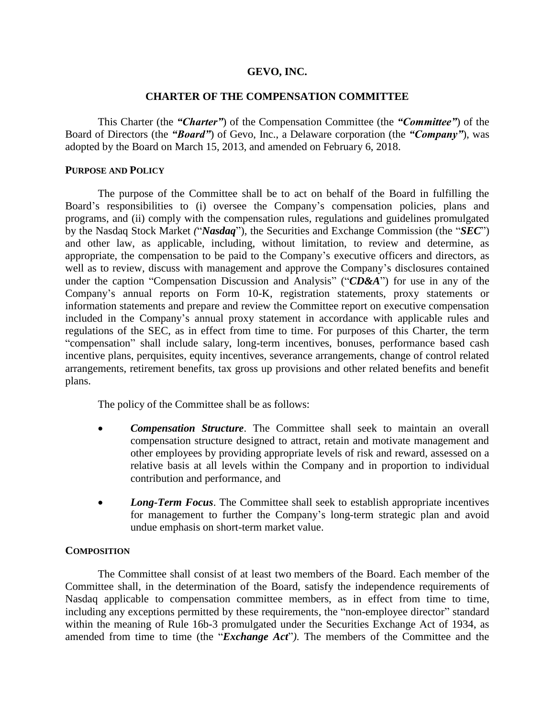### **GEVO, INC.**

### **CHARTER OF THE COMPENSATION COMMITTEE**

This Charter (the *"Charter"*) of the Compensation Committee (the *"Committee"*) of the Board of Directors (the *"Board"*) of Gevo, Inc., a Delaware corporation (the *"Company"*), was adopted by the Board on March 15, 2013, and amended on February 6, 2018.

#### **PURPOSE AND POLICY**

The purpose of the Committee shall be to act on behalf of the Board in fulfilling the Board's responsibilities to (i) oversee the Company's compensation policies, plans and programs, and (ii) comply with the compensation rules, regulations and guidelines promulgated by the Nasdaq Stock Market *(*"*Nasdaq*")*,* the Securities and Exchange Commission (the "*SEC*") and other law, as applicable, including, without limitation, to review and determine, as appropriate, the compensation to be paid to the Company's executive officers and directors, as well as to review, discuss with management and approve the Company's disclosures contained under the caption "Compensation Discussion and Analysis" ("*CD&A*") for use in any of the Company's annual reports on Form 10-K, registration statements, proxy statements or information statements and prepare and review the Committee report on executive compensation included in the Company's annual proxy statement in accordance with applicable rules and regulations of the SEC, as in effect from time to time. For purposes of this Charter, the term "compensation" shall include salary, long-term incentives, bonuses, performance based cash incentive plans, perquisites, equity incentives, severance arrangements, change of control related arrangements, retirement benefits, tax gross up provisions and other related benefits and benefit plans.

The policy of the Committee shall be as follows:

- *Compensation Structure*. The Committee shall seek to maintain an overall compensation structure designed to attract, retain and motivate management and other employees by providing appropriate levels of risk and reward, assessed on a relative basis at all levels within the Company and in proportion to individual contribution and performance, and
- *Long-Term Focus*. The Committee shall seek to establish appropriate incentives for management to further the Company's long-term strategic plan and avoid undue emphasis on short-term market value.

# **COMPOSITION**

The Committee shall consist of at least two members of the Board. Each member of the Committee shall, in the determination of the Board, satisfy the independence requirements of Nasdaq applicable to compensation committee members, as in effect from time to time, including any exceptions permitted by these requirements, the "non-employee director" standard within the meaning of Rule 16b-3 promulgated under the Securities Exchange Act of 1934, as amended from time to time (the "*Exchange Act*"*)*. The members of the Committee and the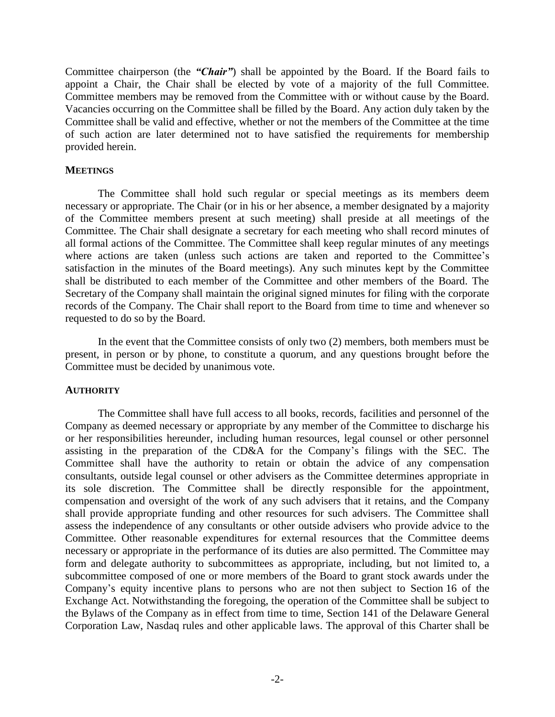Committee chairperson (the *"Chair"*) shall be appointed by the Board. If the Board fails to appoint a Chair, the Chair shall be elected by vote of a majority of the full Committee. Committee members may be removed from the Committee with or without cause by the Board. Vacancies occurring on the Committee shall be filled by the Board. Any action duly taken by the Committee shall be valid and effective, whether or not the members of the Committee at the time of such action are later determined not to have satisfied the requirements for membership provided herein.

### **MEETINGS**

The Committee shall hold such regular or special meetings as its members deem necessary or appropriate. The Chair (or in his or her absence, a member designated by a majority of the Committee members present at such meeting) shall preside at all meetings of the Committee. The Chair shall designate a secretary for each meeting who shall record minutes of all formal actions of the Committee. The Committee shall keep regular minutes of any meetings where actions are taken (unless such actions are taken and reported to the Committee's satisfaction in the minutes of the Board meetings). Any such minutes kept by the Committee shall be distributed to each member of the Committee and other members of the Board. The Secretary of the Company shall maintain the original signed minutes for filing with the corporate records of the Company. The Chair shall report to the Board from time to time and whenever so requested to do so by the Board.

In the event that the Committee consists of only two (2) members, both members must be present, in person or by phone, to constitute a quorum, and any questions brought before the Committee must be decided by unanimous vote.

#### **AUTHORITY**

The Committee shall have full access to all books, records, facilities and personnel of the Company as deemed necessary or appropriate by any member of the Committee to discharge his or her responsibilities hereunder, including human resources, legal counsel or other personnel assisting in the preparation of the CD&A for the Company's filings with the SEC. The Committee shall have the authority to retain or obtain the advice of any compensation consultants, outside legal counsel or other advisers as the Committee determines appropriate in its sole discretion. The Committee shall be directly responsible for the appointment, compensation and oversight of the work of any such advisers that it retains, and the Company shall provide appropriate funding and other resources for such advisers. The Committee shall assess the independence of any consultants or other outside advisers who provide advice to the Committee. Other reasonable expenditures for external resources that the Committee deems necessary or appropriate in the performance of its duties are also permitted. The Committee may form and delegate authority to subcommittees as appropriate, including, but not limited to, a subcommittee composed of one or more members of the Board to grant stock awards under the Company's equity incentive plans to persons who are not then subject to Section 16 of the Exchange Act. Notwithstanding the foregoing, the operation of the Committee shall be subject to the Bylaws of the Company as in effect from time to time, Section 141 of the Delaware General Corporation Law, Nasdaq rules and other applicable laws. The approval of this Charter shall be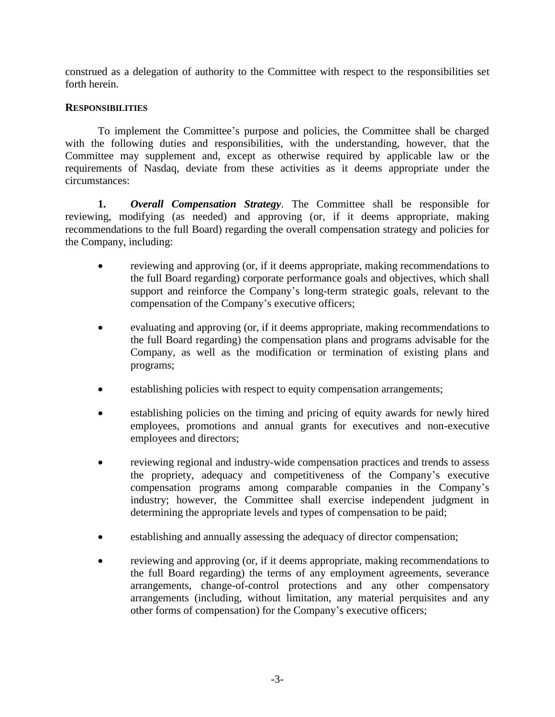construed as a delegation of authority to the Committee with respect to the responsibilities set forth herein.

# **RESPONSIBILITIES**

To implement the Committee's purpose and policies, the Committee shall be charged with the following duties and responsibilities, with the understanding, however, that the Committee may supplement and, except as otherwise required by applicable law or the requirements of Nasdaq, deviate from these activities as it deems appropriate under the circumstances:

**1.** *Overall Compensation Strategy*. The Committee shall be responsible for reviewing, modifying (as needed) and approving (or, if it deems appropriate, making recommendations to the full Board) regarding the overall compensation strategy and policies for the Company, including:

- reviewing and approving (or, if it deems appropriate, making recommendations to the full Board regarding) corporate performance goals and objectives, which shall support and reinforce the Company's long-term strategic goals, relevant to the compensation of the Company's executive officers;
- evaluating and approving (or, if it deems appropriate, making recommendations to the full Board regarding) the compensation plans and programs advisable for the Company, as well as the modification or termination of existing plans and programs;
- establishing policies with respect to equity compensation arrangements;
- establishing policies on the timing and pricing of equity awards for newly hired employees, promotions and annual grants for executives and non-executive employees and directors;
- reviewing regional and industry-wide compensation practices and trends to assess the propriety, adequacy and competitiveness of the Company's executive compensation programs among comparable companies in the Company's industry; however, the Committee shall exercise independent judgment in determining the appropriate levels and types of compensation to be paid;
- establishing and annually assessing the adequacy of director compensation;
- reviewing and approving (or, if it deems appropriate, making recommendations to the full Board regarding) the terms of any employment agreements, severance arrangements, change-of-control protections and any other compensatory arrangements (including, without limitation, any material perquisites and any other forms of compensation) for the Company's executive officers;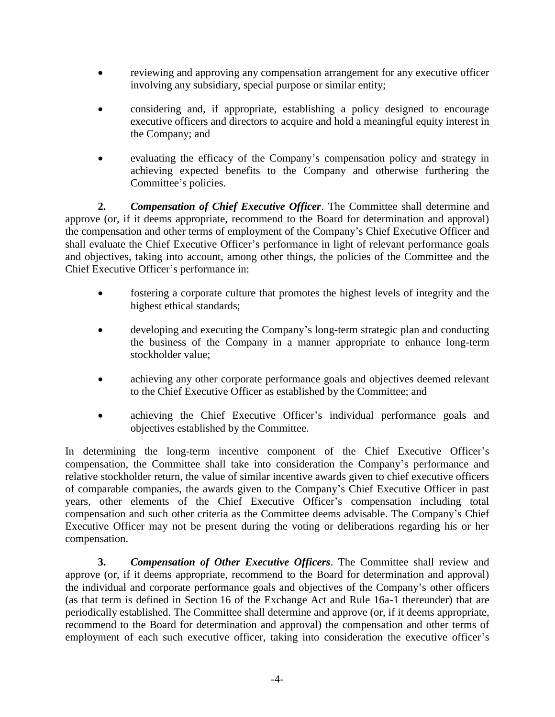- reviewing and approving any compensation arrangement for any executive officer involving any subsidiary, special purpose or similar entity;
- considering and, if appropriate, establishing a policy designed to encourage executive officers and directors to acquire and hold a meaningful equity interest in the Company; and
- evaluating the efficacy of the Company's compensation policy and strategy in achieving expected benefits to the Company and otherwise furthering the Committee's policies.

**2.** *Compensation of Chief Executive Officer*. The Committee shall determine and approve (or, if it deems appropriate, recommend to the Board for determination and approval) the compensation and other terms of employment of the Company's Chief Executive Officer and shall evaluate the Chief Executive Officer's performance in light of relevant performance goals and objectives, taking into account, among other things, the policies of the Committee and the Chief Executive Officer's performance in:

- fostering a corporate culture that promotes the highest levels of integrity and the highest ethical standards;
- developing and executing the Company's long-term strategic plan and conducting the business of the Company in a manner appropriate to enhance long-term stockholder value;
- achieving any other corporate performance goals and objectives deemed relevant to the Chief Executive Officer as established by the Committee; and
- achieving the Chief Executive Officer's individual performance goals and objectives established by the Committee.

In determining the long-term incentive component of the Chief Executive Officer's compensation, the Committee shall take into consideration the Company's performance and relative stockholder return, the value of similar incentive awards given to chief executive officers of comparable companies, the awards given to the Company's Chief Executive Officer in past years, other elements of the Chief Executive Officer's compensation including total compensation and such other criteria as the Committee deems advisable. The Company's Chief Executive Officer may not be present during the voting or deliberations regarding his or her compensation.

**3.** *Compensation of Other Executive Officers*. The Committee shall review and approve (or, if it deems appropriate, recommend to the Board for determination and approval) the individual and corporate performance goals and objectives of the Company's other officers (as that term is defined in Section 16 of the Exchange Act and Rule 16a-1 thereunder) that are periodically established. The Committee shall determine and approve (or, if it deems appropriate, recommend to the Board for determination and approval) the compensation and other terms of employment of each such executive officer, taking into consideration the executive officer's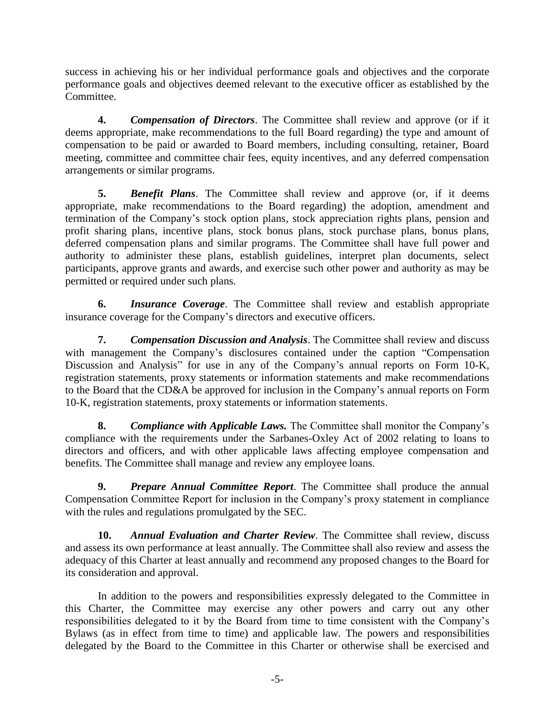success in achieving his or her individual performance goals and objectives and the corporate performance goals and objectives deemed relevant to the executive officer as established by the Committee.

**4.** *Compensation of Directors*. The Committee shall review and approve (or if it deems appropriate, make recommendations to the full Board regarding) the type and amount of compensation to be paid or awarded to Board members, including consulting, retainer, Board meeting, committee and committee chair fees, equity incentives, and any deferred compensation arrangements or similar programs.

**5.** *Benefit Plans*. The Committee shall review and approve (or, if it deems appropriate, make recommendations to the Board regarding) the adoption, amendment and termination of the Company's stock option plans, stock appreciation rights plans, pension and profit sharing plans, incentive plans, stock bonus plans, stock purchase plans, bonus plans, deferred compensation plans and similar programs. The Committee shall have full power and authority to administer these plans, establish guidelines, interpret plan documents, select participants, approve grants and awards, and exercise such other power and authority as may be permitted or required under such plans.

**6.** *Insurance Coverage*. The Committee shall review and establish appropriate insurance coverage for the Company's directors and executive officers.

**7.** *Compensation Discussion and Analysis*. The Committee shall review and discuss with management the Company's disclosures contained under the caption "Compensation Discussion and Analysis" for use in any of the Company's annual reports on Form 10-K, registration statements, proxy statements or information statements and make recommendations to the Board that the CD&A be approved for inclusion in the Company's annual reports on Form 10-K, registration statements, proxy statements or information statements.

**8.** *Compliance with Applicable Laws.* The Committee shall monitor the Company's compliance with the requirements under the Sarbanes-Oxley Act of 2002 relating to loans to directors and officers, and with other applicable laws affecting employee compensation and benefits. The Committee shall manage and review any employee loans.

**9.** *Prepare Annual Committee Report*. The Committee shall produce the annual Compensation Committee Report for inclusion in the Company's proxy statement in compliance with the rules and regulations promulgated by the SEC.

**10.** *Annual Evaluation and Charter Review*. The Committee shall review, discuss and assess its own performance at least annually. The Committee shall also review and assess the adequacy of this Charter at least annually and recommend any proposed changes to the Board for its consideration and approval.

In addition to the powers and responsibilities expressly delegated to the Committee in this Charter, the Committee may exercise any other powers and carry out any other responsibilities delegated to it by the Board from time to time consistent with the Company's Bylaws (as in effect from time to time) and applicable law. The powers and responsibilities delegated by the Board to the Committee in this Charter or otherwise shall be exercised and